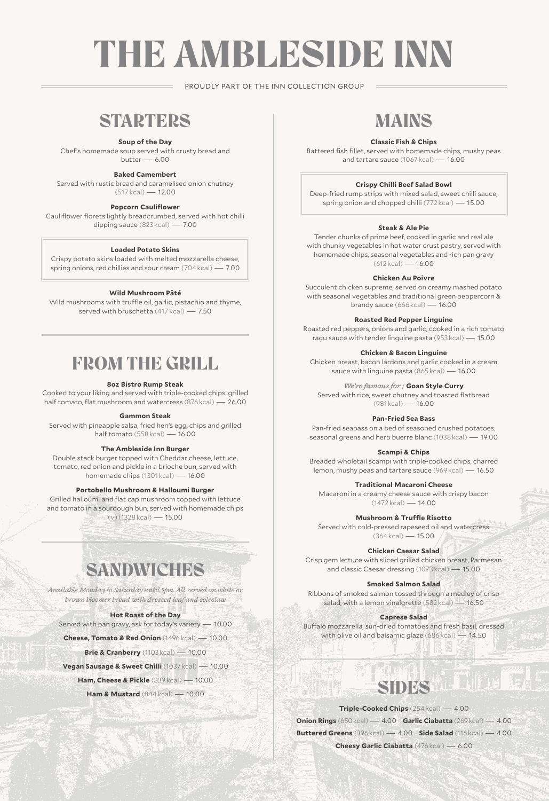# THE AMBLESIDE INN

PROUDLY PART OF THE INN COLLECTION GROUP

### **STARTERS**

#### **Soup of the Day**

Chef's homemade soup served with crusty bread and  $b$ utter  $-6.00$ 

#### **Baked Camembert**

Served with rustic bread and caramelised onion chutney (517 kcal) — 12.00

#### **Popcorn Cauliflower**

Cauliflower florets lightly breadcrumbed, served with hot chilli dipping sauce (823 kcal) — 7.00

#### **Loaded Potato Skins**

Crispy potato skins loaded with melted mozzarella cheese, spring onions, red chillies and sour cream (704 kcal) — 7.00

#### **Wild Mushroom Pâté**

Wild mushrooms with truffle oil, garlic, pistachio and thyme, served with bruschetta (417 kcal) — 7.50

### FROM THE GRILL

#### **8oz Bistro Rump Steak**

Cooked to your liking and served with triple-cooked chips, grilled half tomato, flat mushroom and watercress (876 kcal) — 26.00

#### **Gammon Steak**

Served with pineapple salsa, fried hen's egg, chips and grilled half tomato (558 kcal) — 16.00

#### **The Ambleside Inn Burger**

Double stack burger topped with Cheddar cheese, lettuce, tomato, red onion and pickle in a brioche bun, served with homemade chips (1301 kcal) — 16.00

#### **Portobello Mushroom & Halloumi Burger**

Grilled halloumi and flat cap mushroom topped with lettuce and tomato in a sourdough bun, served with homemade chips (v) (1328 kcal) — 15.00

### **SANDWICHES**

*Available Monday to Saturday until 5pm. All served on white or brown bloomer bread with dressed leaf and coleslaw*

#### **Hot Roast of the Day**

Served with pan gravy, ask for today's variety — 10.00

**Cheese, Tomato & Red Onion** (1496 kcal) — 10.00

**Brie & Cranberry** (1103 kcal) — 10.00

**Vegan Sausage & Sweet Chilli** (1037 kcal) — 10.00

**Ham, Cheese & Pickle** (839 kcal) — 10.00

**Ham & Mustard** (844 kcal) — 10.00

# MAINS

#### **Classic Fish & Chips**

Battered fish fillet, served with homemade chips, mushy peas and tartare sauce (1067 kcal) — 16.00

#### **Crispy Chilli Beef Salad Bowl**

Deep-fried rump strips with mixed salad, sweet chilli sauce, spring onion and chopped chilli (772 kcal) — 15.00

#### **Steak & Ale Pie**

Tender chunks of prime beef, cooked in garlic and real ale with chunky vegetables in hot water crust pastry, served with homemade chips, seasonal vegetables and rich pan gravy (612 kcal) — 16.00

#### **Chicken Au Poivre**

Succulent chicken supreme, served on creamy mashed potato with seasonal vegetables and traditional green peppercorn & brandy sauce (666 kcal) — 16.00

**Roasted Red Pepper Linguine**

Roasted red peppers, onions and garlic, cooked in a rich tomato ragu sauce with tender linguine pasta (953 kcal) — 15.00

**Chicken & Bacon Linguine**

Chicken breast, bacon lardons and garlic cooked in a cream sauce with linguine pasta (865 kcal) — 16.00

*We're famous for /* **Goan Style Curry** 

Served with rice, sweet chutney and toasted flatbread (981 kcal) — 16.00

**Pan-Fried Sea Bass**

Pan-fried seabass on a bed of seasoned crushed potatoes, seasonal greens and herb buerre blanc (1038 kcal) — 19.00

#### **Scampi & Chips**

Breaded wholetail scampi with triple-cooked chips, charred lemon, mushy peas and tartare sauce (969 kcal) — 16.50

**Traditional Macaroni Cheese**

Macaroni in a creamy cheese sauce with crispy bacon  $(1472 \text{ kcal}) - 14.00$ 

**Mushroom & Truffle Risotto**

Served with cold-pressed rapeseed oil and watercress (364 kcal) — 15.00

#### **Chicken Caesar Salad**

Crisp gem lettuce with sliced grilled chicken breast, Parmesan and classic Caesar dressing (1073 kcal) — 15.00

#### **Smoked Salmon Salad**

Ribbons of smoked salmon tossed through a medley of crisp salad, with a lemon vinaigrette (582 kcal) — 16.50

#### **Caprese Salad**

Buffalo mozzarella, sun-dried tomatoes and fresh basil, dressed with olive oil and balsamic glaze (686 kcal) — 14.50

# SIDES

#### **Triple-Cooked Chips** (254 kcal) — 4.00

**Onion Rings** (650 kcal) — 4.00 **Garlic Ciabatta** (269 kcal) — 4.00 **Buttered Greens** (396 kcal) — 4.00 **Side Salad** (116 kcal) — 4.00 **Cheesy Garlic Ciabatta** (476 kcal) — 6.00